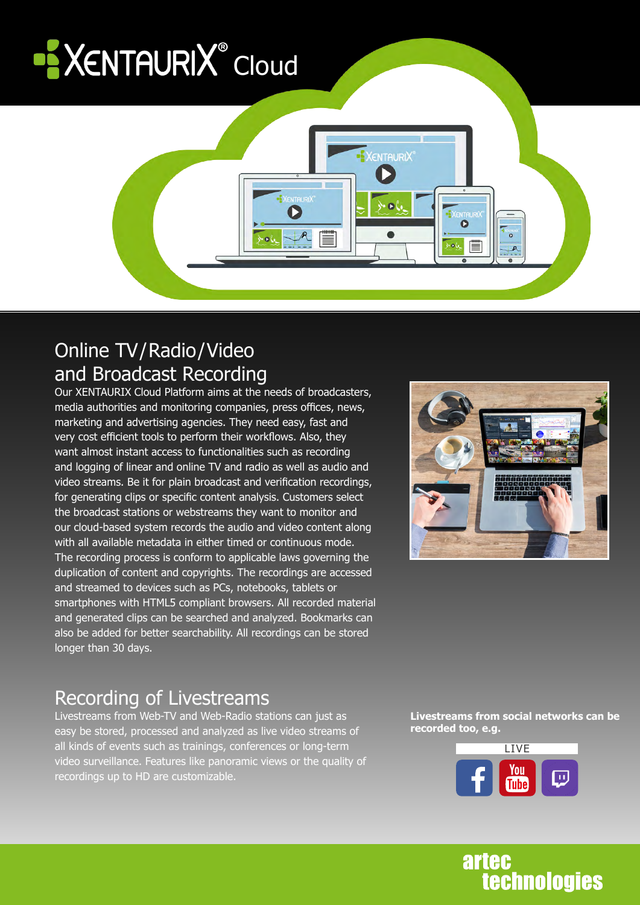# **XENTAURIX** Cloud



#### Online TV/Radio/Video and Broadcast Recording

Our XENTAURIX Cloud Platform aims at the needs of broadcasters, media authorities and monitoring companies, press offices, news, marketing and advertising agencies. They need easy, fast and very cost efficient tools to perform their workflows. Also, they want almost instant access to functionalities such as recording and logging of linear and online TV and radio as well as audio and video streams. Be it for plain broadcast and verification recordings, for generating clips or specific content analysis. Customers select the broadcast stations or webstreams they want to monitor and our cloud-based system records the audio and video content along with all available metadata in either timed or continuous mode. The recording process is conform to applicable laws governing the duplication of content and copyrights. The recordings are accessed and streamed to devices such as PCs, notebooks, tablets or smartphones with HTML5 compliant browsers. All recorded material and generated clips can be searched and analyzed. Bookmarks can also be added for better searchability. All recordings can be stored longer than 30 days.



# Recording of Livestreams

Livestreams from Web-TV and Web-Radio stations can just as easy be stored, processed and analyzed as live video streams of all kinds of events such as trainings, conferences or long-term video surveillance. Features like panoramic views or the quality of recordings up to HD are customizable.

**Livestreams from social networks can be recorded too, e.g.** 



# **artec technologies**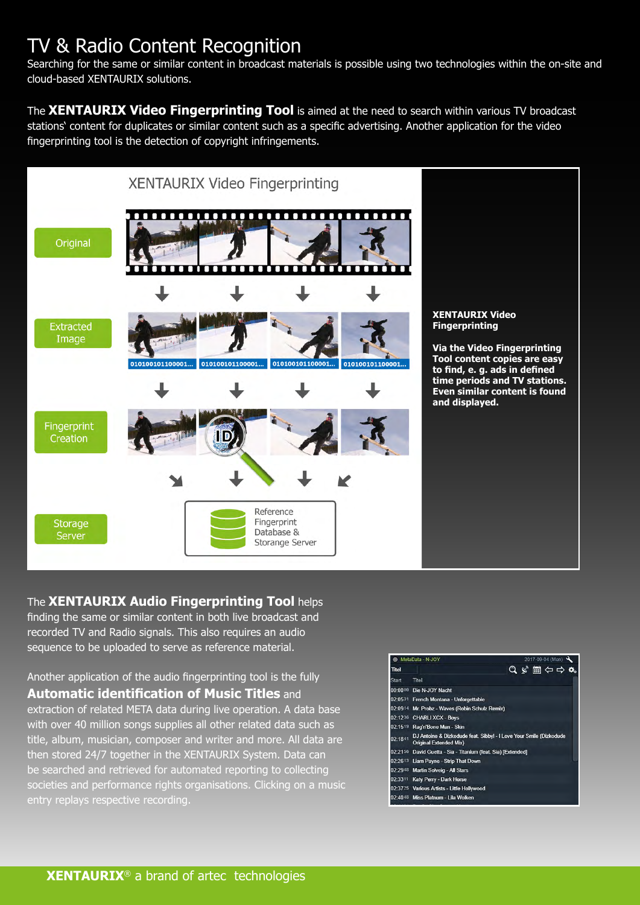# TV & Radio Content Recognition

Searching for the same or similar content in broadcast materials is possible using two technologies within the on-site and cloud-based XENTAURIX solutions.

The **XENTAURIX Video Fingerprinting Tool** is aimed at the need to search within various TV broadcast stations' content for duplicates or similar content such as a specific advertising. Another application for the video fingerprinting tool is the detection of copyright infringements.



#### The **XENTAURIX Audio Fingerprinting Tool** helps

finding the same or similar content in both live broadcast and recorded TV and Radio signals. This also requires an audio sequence to be uploaded to serve as reference material.

Another application of the audio fingerprinting tool is the fully **Automatic identification of Music Titles** and extraction of related META data during live operation. A data base with over 40 million songs supplies all other related data such as title, album, musician, composer and writer and more. All data are then stored 24/7 together in the XENTAURIX System. Data can be searched and retrieved for automated reporting to collecting societies and performance rights organisations. Clicking on a music entry replays respective recording.

|              | MetaData - N-JOY                                                                                                                                                   |  | 2017-09-04 (Mon)               |  |
|--------------|--------------------------------------------------------------------------------------------------------------------------------------------------------------------|--|--------------------------------|--|
| <b>Titel</b> |                                                                                                                                                                    |  | $Q \times H \Leftrightarrow Q$ |  |
| <b>Start</b> | Titel                                                                                                                                                              |  |                                |  |
|              | 00:0000 Die N-JOY Nacht                                                                                                                                            |  |                                |  |
|              | 02:0531 French Montana - Unforgettable                                                                                                                             |  |                                |  |
|              | 02:0914 Mr. Probz - Waves (Robin Schulz Remix)                                                                                                                     |  |                                |  |
|              | 02:1236 CHARLI XCX - Boys                                                                                                                                          |  |                                |  |
|              | 02:1519 Rag'n'Bone Man - Skin                                                                                                                                      |  |                                |  |
| 02:1841      | DJ Antoine & Dizkodude feat. Sibbyl - I Love Your Smile (Dizkodude<br><b>Original Extended Mix)</b>                                                                |  |                                |  |
|              | 02:2156 David Guetta - Sia - Titanium (feat. Sia) [Extended]                                                                                                       |  |                                |  |
|              | 02:2613 Liam Payne - Strip That Down                                                                                                                               |  |                                |  |
|              | 02:2948 Martin Solveig - All Stars                                                                                                                                 |  |                                |  |
|              | 02:3311 Katy Perry - Dark Horse                                                                                                                                    |  |                                |  |
|              | 02:3725 Various Artists - Little Hollywood                                                                                                                         |  |                                |  |
|              | $\mathbf{a}$ , $\mathbf{a}$ , $\mathbf{a}$ , $\mathbf{a}$ , $\mathbf{a}$ , $\mathbf{a}$ , $\mathbf{a}$ , $\mathbf{a}$ , $\mathbf{a}$ , $\mathbf{a}$ , $\mathbf{a}$ |  |                                |  |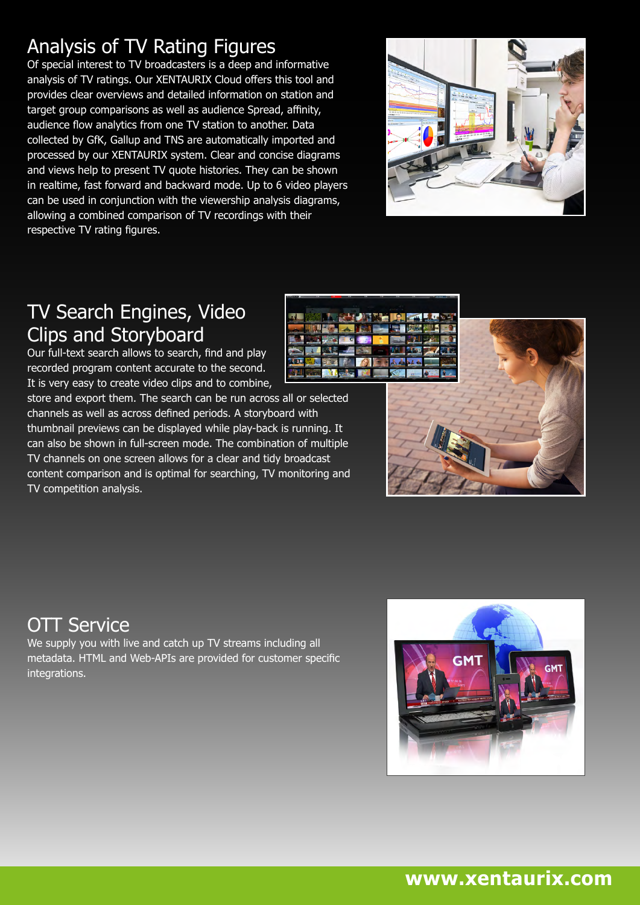# Analysis of TV Rating Figures

Of special interest to TV broadcasters is a deep and informative analysis of TV ratings. Our XENTAURIX Cloud offers this tool and provides clear overviews and detailed information on station and target group comparisons as well as audience Spread, affinity, audience flow analytics from one TV station to another. Data collected by GfK, Gallup and TNS are automatically imported and processed by our XENTAURIX system. Clear and concise diagrams and views help to present TV quote histories. They can be shown in realtime, fast forward and backward mode. Up to 6 video players can be used in conjunction with the viewership analysis diagrams, allowing a combined comparison of TV recordings with their respective TV rating figures.



### TV Search Engines, Video Clips and Storyboard

Our full-text search allows to search, find and play recorded program content accurate to the second. It is very easy to create video clips and to combine,

store and export them. The search can be run across all or selected channels as well as across defined periods. A storyboard with thumbnail previews can be displayed while play-back is running. It can also be shown in full-screen mode. The combination of multiple TV channels on one screen allows for a clear and tidy broadcast content comparison and is optimal for searching, TV monitoring and TV competition analysis.





#### **OTT Service**

We supply you with live and catch up TV streams including all metadata. HTML and Web-APIs are provided for customer specific integrations.